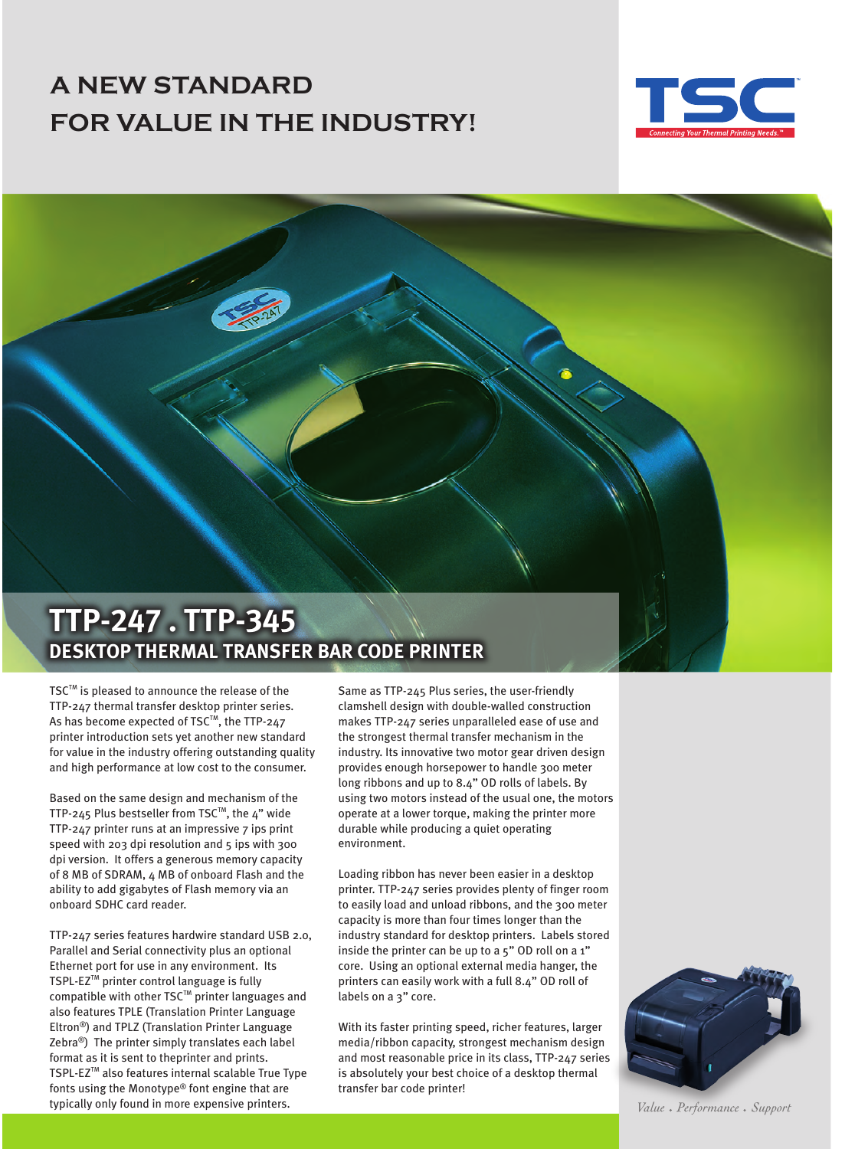## **A NEW STANDARD FOR VALUE IN THE INDUSTRY!**





TSC™ is pleased to announce the release of the TTP-247 thermal transfer desktop printer series. As has become expected of TSC™, the TTP-247 printer introduction sets yet another new standard for value in the industry offering outstanding quality and high performance at low cost to the consumer.

Based on the same design and mechanism of the TTP-245 Plus bestseller from TSC<sup>TM</sup>, the 4" wide TTP-247 printer runs at an impressive 7 ips print speed with 203 dpi resolution and 5 ips with 300 dpi version. It offers a generous memory capacity of 8 MB of SDRAM, 4 MB of onboard Flash and the ability to add gigabytes of Flash memory via an onboard SDHC card reader.

TTP-247 series features hardwire standard USB 2.0, Parallel and Serial connectivity plus an optional Ethernet port for use in any environment. Its TSPL-EZ™ printer control language is fully compatible with other TSC<sup>™</sup> printer languages and also features TPLE (Translation Printer Language Eltron®) and TPLZ (Translation Printer Language Zebra®) The printer simply translates each label format as it is sent to theprinter and prints. TSPL-EZ™ also features internal scalable True Type fonts using the Monotype® font engine that are typically only found in more expensive printers.

Same as TTP-245 Plus series, the user-friendly clamshell design with double-walled construction makes TTP-247 series unparalleled ease of use and the strongest thermal transfer mechanism in the industry. Its innovative two motor gear driven design provides enough horsepower to handle 300 meter long ribbons and up to 8.4" OD rolls of labels. By using two motors instead of the usual one, the motors operate at a lower torque, making the printer more durable while producing a quiet operating environment.

Loading ribbon has never been easier in a desktop printer. TTP-247 series provides plenty of finger room to easily load and unload ribbons, and the 300 meter capacity is more than four times longer than the industry standard for desktop printers. Labels stored inside the printer can be up to a 5" OD roll on a 1" core. Using an optional external media hanger, the printers can easily work with a full 8.4" OD roll of labels on a 3" core.

With its faster printing speed, richer features, larger media/ribbon capacity, strongest mechanism design and most reasonable price in its class, TTP-247 series is absolutely your best choice of a desktop thermal transfer bar code printer!



Value • Performance • Support